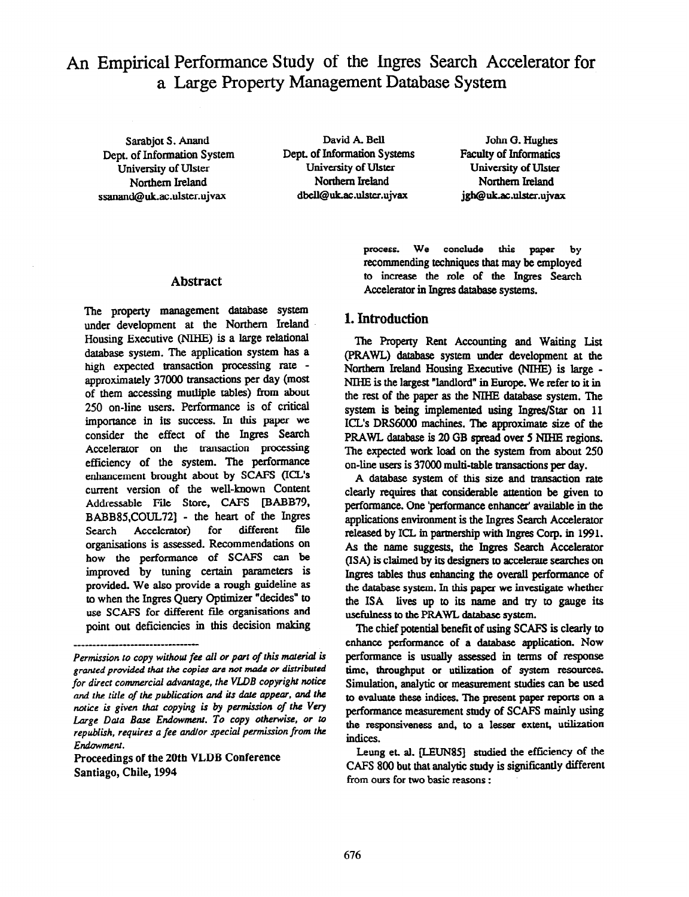# An Empirical Performance Study of the Ingres Search Accelerator for a Large Property Management Database System

Dept. of Information System Dept. of Information System<br>Iniversity of Ulster University of Ulster University of Ulster University of Ulster University of Ulster<br>Northern Ireland Northern Ireland ssanand@uk.ac.ulster.ujvax

Sarabjot S. Anand David A. Bell<br>
c of Information System Dept. of Information Systems Northern Ireland Northern Ireland<br>d@uk.ac.ulster.ujvax dbell@uk.ac.ulster.ujvax

John G. Hughes Faculty of Informatics University of Ulster Northem Ireland jgh@uk.ac.ulster.ujvax

#### Abstract

The property management database system under development at the Northern Ireland Housing Executive (NIHE) is a large relational database system. The application system has a high expected transaction processing rate approximately 37000 transactions per day (most of them accessing mutliple tables) from about 250 on-line users. Performance is of critical importance in its success. In this paper we consider the effect of the Ingres Search Accelerator on the transaction processing efficiency of the system. The performance enhancement brought about by SCAFS (ICL's current version of the well-known Content Addressable File Store, CAFS [BABB79, BABB85,COUL72] - the heart of the Ingres<br>Search Accelerator) for different file Search Accelerator) for organisations is assessed. Recommendations on how the performance of SCAFS can be improved by tuning certain parameters is provided. We also provide a rough guideline as to when the Ingres Query Optimizer "decides" to use SCAFS for different file organisations and point out deficiencies in this decision making

Proceedings of the 20th VLDB Conference Santiago, Chile, 1994

\_\_\_-\_-\_\_\_\_\_\_-\_--\_\_\_\_\_\_\_\_\_\_\_\_\_\_\_\_\_

process. We conclude this paper by recommending techniques that may be employed to increase the role of the Ingres Search Accelerator in Ingres database systems.

### 1. Introduction

The Property Rent Accounting and Waiting List (PRAWL) database system under development at the Northern Ireland Housing Executive (NIHE) is large - NIHE is the largest "landlord" in Europe. We refer to it in the rest of the paper as the NIHE database system. The system is being implemented using Ingres/Star on 11 ICL's DRS6000 machines. The approximate size of the PRAWL database is 20 GB spread over 5 NlHE regions. The expected work load on the system from about 250 on-line users is 37000 multi-table transactions per day.

A database system of this size and transaction rate clearly requires that considerable attention be given to performance. One 'performance enhancer' available in the applications environment is the Ingres Search Accelerator released by ICL in partnership with Ingres Corp. in 1991. As the name suggests, the Ingres Search Accelerator (ISA) is claimed by its designers to accelerate searches on Ingres tables thus enhancing the overall performance of the database system. In this paper we investigate whether the ISA lives up to its name and try to gauge its usefulness to the PRAWL database system.

The chief potential benefit of using SCAFS is clearly to enhance performance of a database application. Now perfomnmce is usually assessed in terms of response time, throughput or utilization of system resources. Simulation, analytic or measurement studies can be used to evaluate these indices. The present paper reports on a performance measurement study of SCAFS mainly using the responsiveness and, to a lesser extent, utilization indices.

Leung et. al. [LEUN85] studied the efficiency of the CAFS 800 but that analytic study is significantly different from ours for two basic reasons :

Permission to copy without fee all or part of this material is granted provided that the copies are not made or distributed for direct commercial advantage, the VLDB copyright notice and the title of the publication and its date appear, and the notice is given that copying is by permission of the Very Large Data Base Endowment. To copy otherwise, or to republish, requires a fee andlor special permission from the Endowment.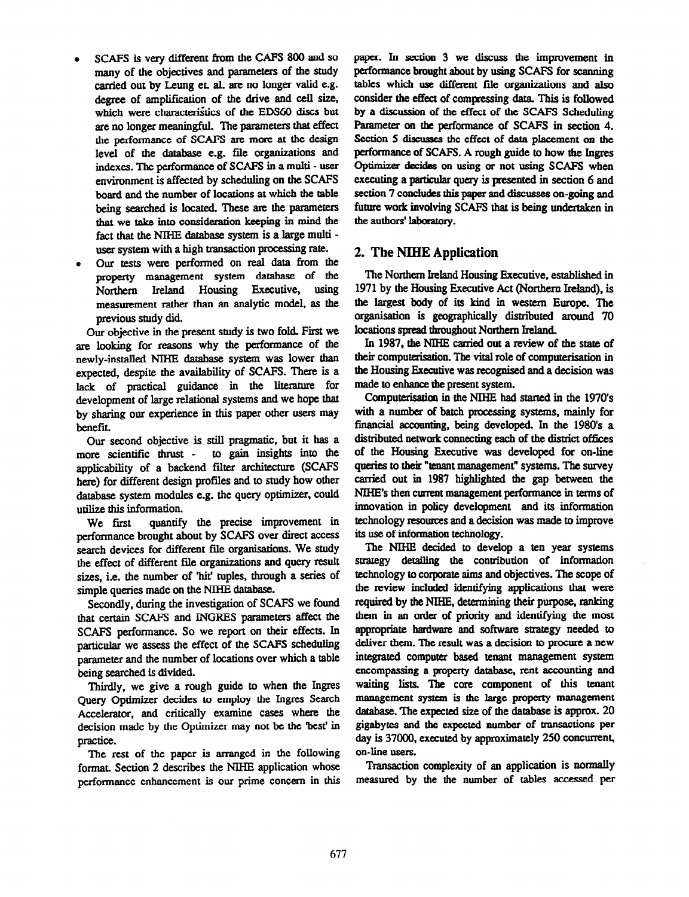- SCAFS is very different from the CAFS 800 and so many of the objectives and parameters of the study carried out by Leung et. al. are no longer valid e.g. degree of amplification of the drive and cell size, which were characteristics of the EDS60 discs but are no longer meaningful. The parameters that effect the performance of SCAFS are more at the design level of the database e.g. file organizations and indexes. The performance of SCAFS in a multi - user environment is affected by scheduling on the SCAFS board and the number of locations at which the table being searched is located. These are the parameters that we take into consideration keeping in mind the fact that the NIHE database system is a large multiuser system with a high transaction processing rate.
- <sup>l</sup>Our tests were performed on real data from the property management system database of the Northern Ireland Housing Executive, using measurement rather than an analytic model, as the previous study did.

Our objective in the present study is two fold. First we are looking for reasons why the performance of the newly-installed NIHE database system was lower than expected, despite the availability of SCAFS. There is a lack of practical guidance in the litemture for development of large relational systems and we hope that by sharing our experience in this paper other users may benefit.

Our second objective is still pragmatic, but it has a more scientific thrust - to gain insights into the applicability of a backend filter architecture (SCAFS here) for different design profiles and to study how other database system modules e.g. the query optimizer, could utilize this information.

We first quantify the precise improvement in performance brought about by SCAFS over direct access search devices for different file organisations. We study the effect of different file organizations and query result sizes, i.e. the number of 'hit' tuples, through a series of simple queries made on the NIHE database.

Secondly, during the investigation of SCAFS we found that certain SCAFS and INGRES parameters affect the SCAFS performance. So we report on their effects. In particular we assess the effect of the SCAFS scheduling parameter and the number of locations over which a table being searched is divided.

Thirdly, we give a rough guide to when the Ingres Query Optimizer decides to employ the Ingres Search Accelerator, and critically examine cases where the decision made by the Optimizer may not be the 'best' in practice.

The rest of the paper is arranged in the following format. Section 2 describes the NIHE application whose performance enhancement is our prime concern in this paper. In section 3 we discuss the improvement in performance brought about by using SCAFS for scanning tables which use different file organizations and also consider the effect of compressing data. This is followed by a discussion of the effect of the SCAFS Scheduling Parameter on the performance of SCAFS in section 4. Section 5 discusses the effect of data placement on the performance of SCAFS. A rough guide to how the Ingres Optimizer decides on using or not using SCAFS when executing a particular query is presented in section 6 and section 7 concludes this paper and discusses on-going and future work involving SCAFS that is being undertaken in the authors' laboratory.

## 2. The NIHE Application

The Northern Ireland Housing Executive, established in 1971 by the Housing Executive Act (Northern Ireland), is the largest body of its kind in western Europe. The organisation is geographically distributed around 70 locations spread throughout Northern Ireland.

In 1987, the NIHE carried out a review of the state of their computerisation. The vital role of computerisation in the Housing Executive was recognised and a decision was made to enhance the present system.

Computerisation in the NIHE had started in the 1970's with a number of batch processing systems, mainly for financial accounting, being developed. In the 1980's a distributed network connecting each of the district offices of the Housing Executive was developed for on-line queries to their "tenant management" systems. The survey carried out in 1987 highlighted the gap between the NIHE's then current management performance in terms of innovation in policy development and its information technology resources and a decision was made to improve its use of information technology.

The NIHE decided to develop a ten year systems strategy detailing the contribution of information technology to corporate aims and objectives. The scope of the review included identifying applications that were required by tbe NIHE, determining their purpose, ranking them in an onler of priority and identifying the most appropriate hardware and software strategy needed to deliver them. The result was a decision to procure a new integrated computer based tenant management system encompassing a property database, rent accounting and waiting lists. The core component of this tenant management system is the large property management databae. The expected size of the database is approx. 20 gigabytes and the expected number of transactions per day is 37000, executed by approximately 250 concurrent, on-line users.

Transaction complexity of an application is normally measured by the the number of tables accessed per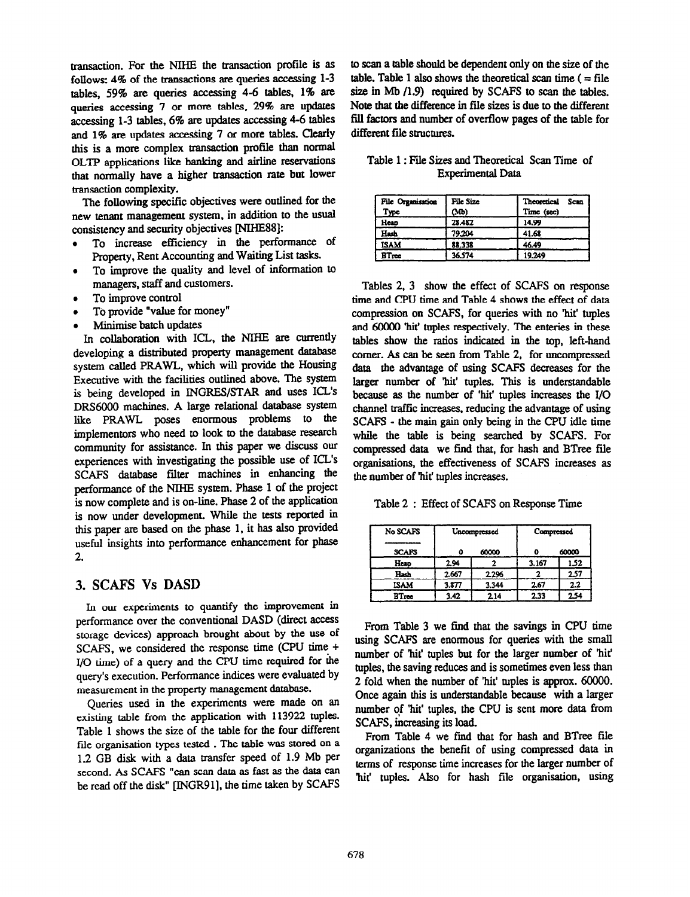transaction. For the NIHE the transaction profile is as follows: 4% of the transactions are queries accessing l-3 tables, 59% are queries accessing 4-6 tables, 1% are queries accessing 7 or more tables, 29% are updates accessing 1-3 tables, 6% are updates accessing 4-6 tables and 1% are updates accessing 7 or more tables. Clearly this is a more complex transaction profile than normal OLTP applications like banking and airline reservations that normally have a higher transaction rate but lower transaction complexity.

The following specific objectives were outlined for the new tenant management system, in addition to the usual consistency and security objectives [NIHESS]:

- To increase efficiency in the performance of Property, Rent Accounting and Waiting List tasks.
- To improve the quality and level of information to managers, staff and customers.
- To improve control
- To provide "value for money"
- Minimise batch updates

In collaboration with ICL, the NIHE are currently developing a distributed property management database system called PRAWL, which will provide the Housing Executive with the facilities outlined above. The system is being developed in INGRES/STAR and uses ICL's DRS6000 machines. A large relational database system like PRAWL poses enormous problems to the implementors who need to look to the database research community for assistance. In this paper we discuss our experiences with investigating the possible use of ICL's SCAFS database filter machines in enhancing the performance of the NIHE system. Phase 1 of the project is now complete and is on-line. Phase 2 of the application is now under development. While the tests reported in this paper are based on the phase 1. it has also provided useful insights into performance enhancement for phase 2.

# 3. SCAFS Vs DASD

In our experiments to quantify the improvement in performance over the conventional DASD (direct access storage devices) approach brought about by the use of SCAFS, we considered the response time (CPU time + I/O time) of a query and the CPU time required for the query's execution. Performance indices were evaluated by measurement in the property management database.

Queries used in the experiments were made on an existing table from the application with 113922 tuples. Table 1 shows the size of the table for the four different file organisation types tested . The table was stored on a 1.2 GB dish with a data transfer speed of 1.9 Mb per second. As SCAFS "can scan data as fast as the data can be read off the disk" [INGR91], the time taken by SCAFS

to scan a table should be dependent only on the size of the table. Table 1 also shows the theoretical scan time  $( = file$ size in Mb  $(1.9)$  required by SCAFS to scan the tables. Note that the difference in file sizes is due to the different fill factors and number of overflow pages of the table for different file structures.

|  |  |  | Table 1: File Sizes and Theoretical Scan Time of |  |  |
|--|--|--|--------------------------------------------------|--|--|
|  |  |  | <b>Experimental Data</b>                         |  |  |

| File Organisation<br>Type | File Size<br>(Mb) | Theoretical<br>Scan<br>Time (sec) |
|---------------------------|-------------------|-----------------------------------|
| Heap                      | 28.482            | 14.99                             |
| Hash                      | 79.204            | 41.68                             |
| <b>ISAM</b>               | 88.338            | 46.49                             |
| BTree                     | 36.574            | 19.249                            |

Tables 2, 3 show the effect of SCAFS on response time and CPU time and Table 4 shows the effect of data compression on SCAFS, for queries with no hit' tuples and 60000 'hit' tuples respectively. The emeries in these tables show the ratios indicated in the top, left-hand comer. As can be seen from Table 2, for uncompressed data the advantage of using SCAFS decreases for the larger number of 'hit' tuples. This is understandable because as the number of 'hit' tuples increases the I/O channel traffic increases. reducing the advantage of using SCAFS - the main gain only being in the CPU idle time while the table is being searched by SCAFS. For compressed data we find that, for hash and BTree file organisations, the effectiveness of SCAFS increases as the number of hit' tuples increases.

Table 2 : Effect of SCAFS on Response Time

| No SCAFS     |       | Uncompressed | Compressed |       |  |
|--------------|-------|--------------|------------|-------|--|
| <b>SCAFS</b> |       | 60000        |            | 60000 |  |
| Heap         | 2.94  |              | 3.167      | 1.52  |  |
| Hash         | 2.667 | 2.296        |            | 2.57  |  |
| ISAM         | 3.877 | 3.344        | 2.67       | 2.2   |  |
| BTree        | 3.42  | 2.14         | 2.33       | 254   |  |

From Table 3 we find that the savings in CPU time using SCAFS are enormous for queries with the small number of 'hit' tuples but for the larger number of 'hit' tuples, the saving reduces and is sometimes even less than 2 fold when the number of 'hit' tuples is approx. 60000. Once again this is understandable because with a larger number of 'hit' tuples, the CPU is sent more data from SCAFS, increasing its load.

From Table 4 we find that for hash and BTree file organizations the benefit of using compressed data in terms of response time increases for the larger number of 'hit' tuples. Also for hash file organisation, using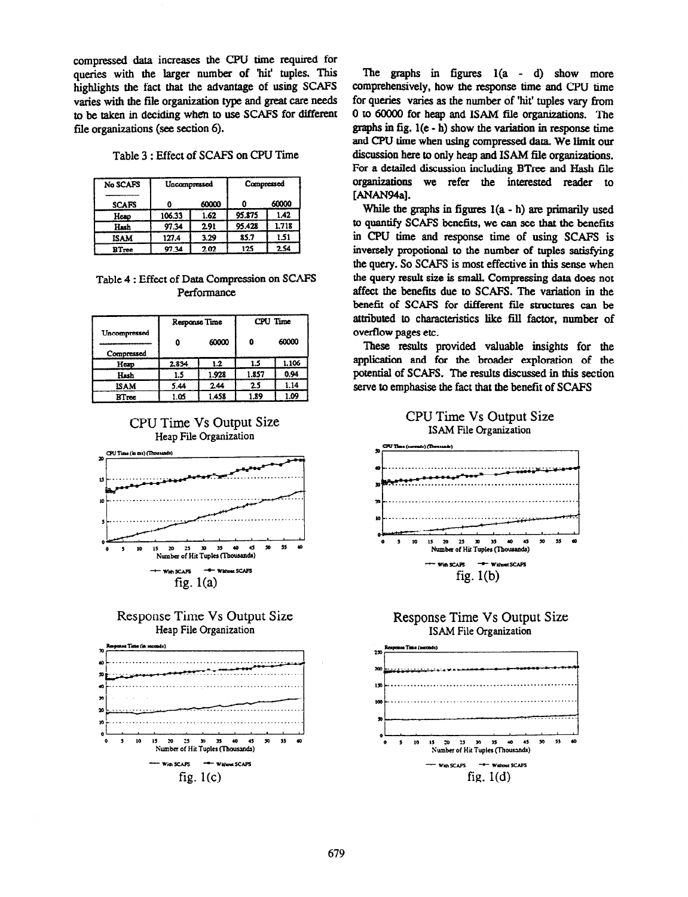compressed data increases the CPU time required for queries with the larger number of hit' tuples. This highlights the fact that the advantage of using SCAFS varies with the file organixation type and great care needs to be taken in deciding when to use SCAFS for different file organizations (see section 6).

|  |  | Table 3 : Effect of SCAFS on CPU Time |  |  |  |  |
|--|--|---------------------------------------|--|--|--|--|
|--|--|---------------------------------------|--|--|--|--|

| No SCAFS     | Uncompressed |       | Compressed |       |  |
|--------------|--------------|-------|------------|-------|--|
| <b>SCAFS</b> |              | 60000 |            | 60000 |  |
| Heap         | 106.33       | 1.62  | 95.875     | 1.42  |  |
| Hash         | 97.34        | 2.91  | 95.428     | 1.718 |  |
| <b>ISAM</b>  | 127.4        | 3.29  | 85.7       | 1.51  |  |
| BTree        | 97.34        | 2.02  | 125        | 2.54  |  |

#### Table 4 : Effect of Data Compression on SCAFS Performance

|                            | Response Time |       | CPU Time |       |  |
|----------------------------|---------------|-------|----------|-------|--|
| Uncompressed<br>Compressed |               | 60000 | 0        | 60000 |  |
| Hexp                       | 2.834         | 1.2   | 1.5      | 1.106 |  |
| Hash                       | 1.5           | 1.928 | 1.857    | 0.94  |  |
| ISAM                       | 5.44          | 2.44  | 25       | 1.14  |  |
| BTree                      | េច            | 1.458 | 1.89     | 1.09  |  |

# CPU Time Vs Output Size Heap File Organization







The graphs in figures  $l(a - d)$  show more comprehensively, how the response time and CPU time for queries varies as the number of 'hit' tuples vary from 0 to 60000 for heap and ISAM file organizations. The graphs in fig. l(e - h) show the variation in response time and CPU time when using compressed data. We limit our discussion here to only heap and ISAM file organizations. For a detailed discussion including BTree and Hash file organizations we refer the interested reader to [ANAN94a].

While the graphs in figures  $l(a - h)$  are primarily used to quantify SCAFS benefits, we can see that the benefits in CPU time and response time of using SCAFS is inversely propotional to the number of tuples satisfying the query. So SCAFS is most effective in this sense when the query result size is small. Compressing data does not affect the benefits due to SCAFS. The variation in the benefit of SCAFS for different file structures can be attributed to characteristics like fill factor, number of overflow pages etc.

These results provided valuable insights for the application and for the broader exploration of the potential of SCAFS. The results discussed in this section serve to emphasise the fact that the benefit of SCAFS

#### CPU Time Vs Output Size ISAM File Organization





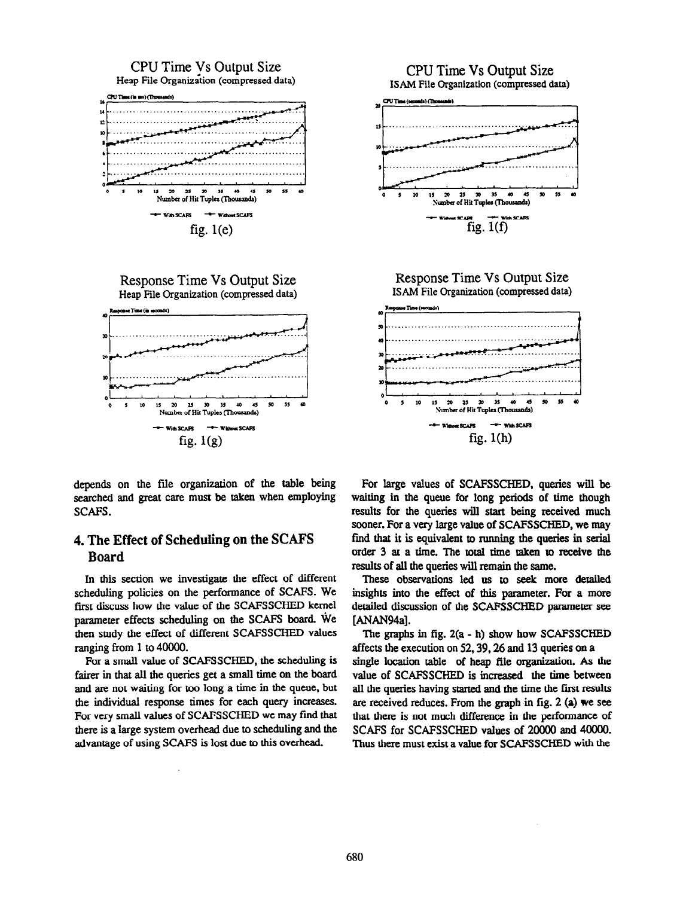



depends on the file organization of the table being searched and great care must be taken when employing SCAFS.

# 4. The Effect of Scheduling on the SCAFS Board

In this section we investigate the effect of different scheduling policies on the performance of SCAFS. We first discuss how the value of the SCAFSSCHED kernel parameter effects scheduling on the SCAFS board. We then study the effect of different SCAFSSCHED values ranging from 1 to 40000.

For a small value of SCAFSSCHED, the scheduling is fairer in that all the queries get a small time on the board and are not waiting for too long a time in the queue, but the individual response times for each query increases. For very small values of SCAFSSCHED we may fmd that there is a large system overhead due to scheduling and the advantage of using SCAFS is lost due to this overhead.



fig. l(h)

**Tuples (Thous** 

ds)

With SCAFS

of Hit

**Exercise** 

\$5

of Hit Tuples (Thousands)

 $fig.1(f)$ 

uls) (Th

10 15  $\mathbf{v}$  $25$  $30$ 35 40 45

These observations led us to seek more detailed insights into the effect of this parameter. For a more detailed discussion of the SCAFSSCHED parameter see [ANAN94a].

The graphs in fig. Z(a - h) show how SCAFSSCHED affects the execution on 52.39.26 and 13 queries on a single location table of heap file organization. As the value of SCAFSSCHED is increased the time between all the queries having started and the time the first results are received reduces. From the graph in fig. 2  $(a)$  we see that there is not much difference in the performance of SCAFS for SCAFSSCHED values of 20000 and 40000. Thus there must exist a value for SCAFSSCHED with the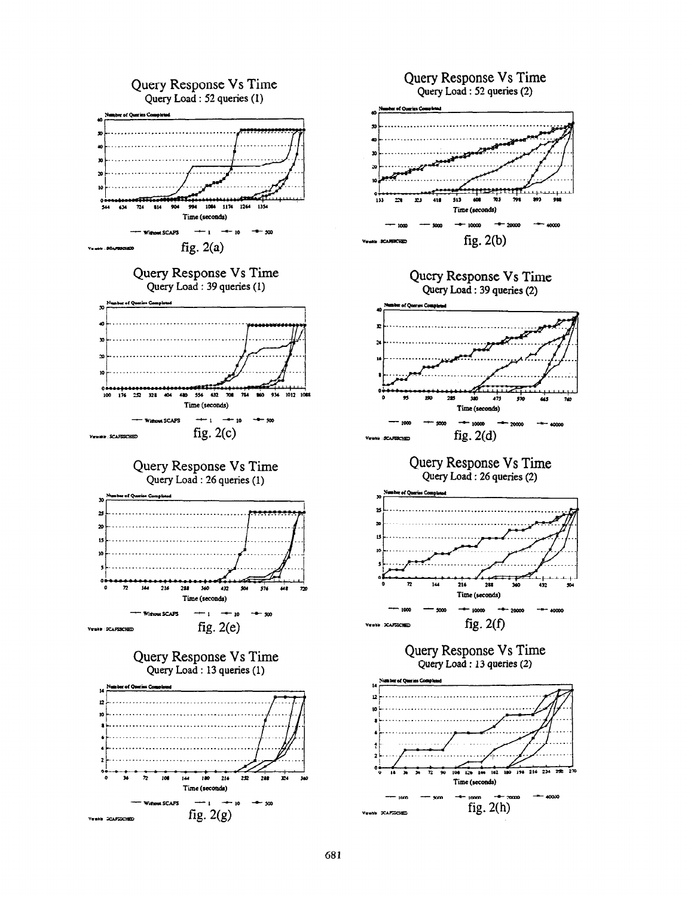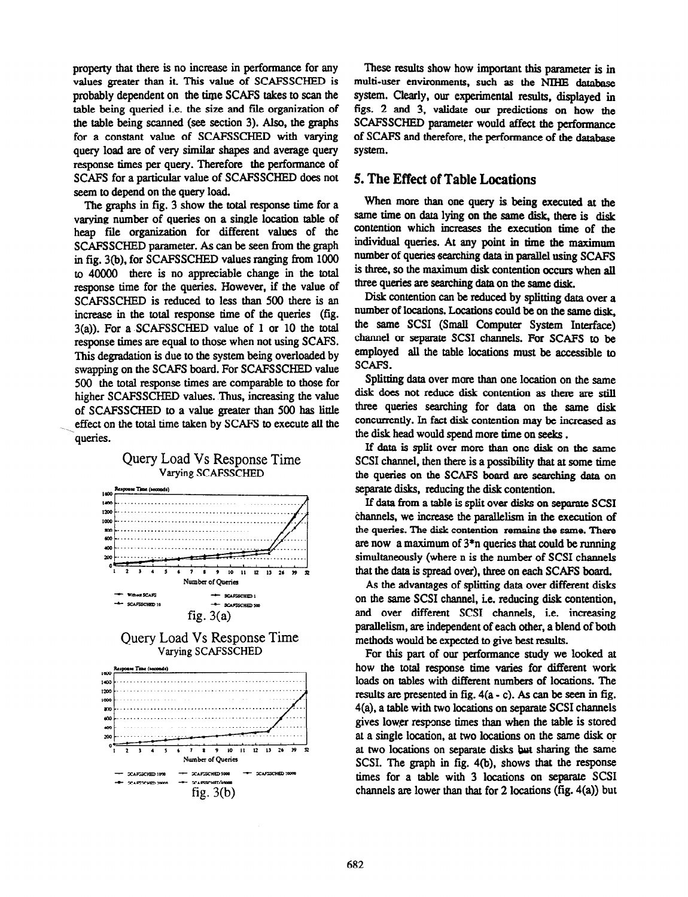property that there is no increase in performance for any values greater than it This value of SCAFSSCHED is probably dependent on the time SCAFS takes to scan the table being queried i.e. the size and file organization of the table being scanned (see section 3). Also, the graphs for a constant value of SCAFSSCHED with varying query load are of very similar shapes and average query response times per query. Therefore the performance of SCAFS for a particular value of SCAFSSCHED does not seem to depend on the query load.

The graphs in fig. 3 show the total response time for a varying number of queries on a single location table of heap file organization for different values of the SCAFSSCHED parameter. As can be seen from the graph in fig. 3(b), for SCAFSSCHED values ranging from 1000 to 40000 there is no appreciable change in the total response time for the queries. However, if the value of SCAFSSCHED is reduced to less than 500 there is an increase in the total response time of the queries (fig. 3(a)). For a SCAFSSCHED value of 1 or 10 the total response times are equal to those when not using SCAFS. This degradation is due to the system being overloaded by swapping on the SCAFS board. For SCAFSSCHED value 500 the total response times are comparable to those for higher SCAFSSCHED values. Thus, increasing the value of SCAFSSCHED to a value greater than 500 has little effect on the total time taken by SCAFS to execute all the queries.



These results show how important this parameter is in multi-user environments, such as the NIHE database system. Clearly, our experimental results, displayed in figs. 2 and 3, validate our predictions on how the SCAFSSCHED parameter would affect the performance of SCAFS and therefore, the performance of the database system.

#### 5. The Effect of Table Locations

When more than one query is being executed at the same time on data lying on the same disk, there is disk contention which increases the execution time of the individual queries. At any point in time the maximum number of queries searching data in parallel using SCAFS is three, so the maximum disk contention occurs when all three queries are searching data on the same disk.

Disk contention can be reduced by splitting data over a number of locations. Locations could be on the same disk, the same SCSI (Small Computer System Interface) channel or separate SCSI channels. For SCAFS to be employed all the table locations must be accessible to SCAFS.

Splitting data over more than one location on the same disk does not reduce disk contention as there are still three queries searching for data on the same disk concurrently. In fact disk contention may be increased as the disk head would spend more time on seeks.

If data is split over more than one disk on the same SCSI channel, then there is a possibility that at some time the queries on the SCAFS board are searching data on separate disks, reducing the disk contention.

If data from a table is split over disks on separate SCSI channels, we increase the parallelism in the execution of the queries. The disk contention remains the same. There are now a maximum of  $3<sup>*</sup>$ n queries that could be running simultaneously (where n is the number of SCSI channels that the data is spread over), three on each SCAFS board

As the advantages of splitting data over different disks on the same SCSI channel, i.e. reducing disk contention, and over different SCSI channels, i.e. increasing parallelism, are independent of each other, a blend of both methods would be expected to give best results.

For this part of our performance study we looked at how the total response time varies for different work loads on tables with different numbers of locations. The results are presented in fig. 4(a - c). As can be seen in fig. 4(a). a table with Wo locations on separate SCSI channels gives lower response times than when the table is stored at a single location, at two locations on the same disk or at two locations on separate disks but sharing the same SCSI. The graph in fig. 4(b), shows that the response times for a table with 3 locations on separate SCSI channels are lower than that for 2 locations (fig.  $4(a)$ ) but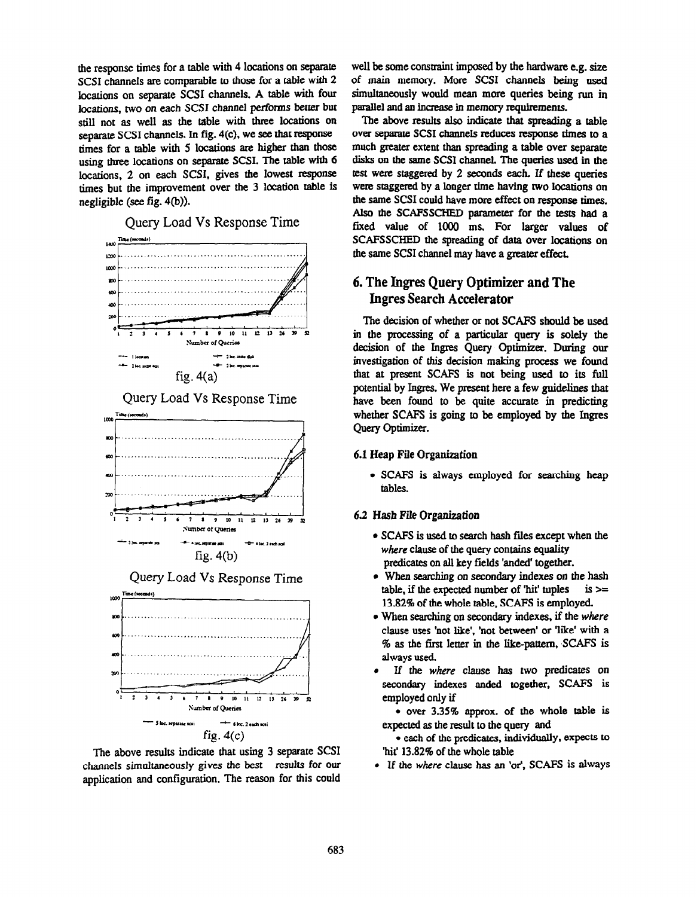the response times for a table with 4 locations on separate SCSI channels are comparable to those for a table with 2 locations on separate SCSI channels. A table with four locations, two on each SCSI channel performs better but still not as well as the table with three locations on separate SCSI channels. In fig. 4(c), we see that response times for a table with 5 locations are higher than those using three locations on separate SCSI. The table with 6 locations, 2 on each SCSI, gives the lowest response times but the improvement over the 3 location table is negligible (see fig. 4(b)).

Query Load Vs Response Time



Query Load Vs Response Time



Query Load Vs Response Time



The above results indicate that using 3 separate SCSI channels simultaneously gives the best results for our application and configuration. The reason for this could

well be some constraint imposed by the hardware e.g. size of main memory. More SCSI channels being used simultaneously would mean more queries being run in parallel and an increase in memory requirements.

,9Q ..\_........\_\_,...\_.\_..\_.\_\_\_\_\_\_\_...\_\_\_\_\_,\_..\_\_\_...\_..\_\_.\_ the same SCSI channel may have a greater effect. The above results also indicate that spreading a table over separate SCSI channels reduces response times to a much greater extent than spreading a table over separate disks on the same SCSI channel. The queries used in the test were staggered by 2 seconds each. If these queries were staggered by a longer time having two locations on the same SCSI could have more effect on response times. Also the SCAFSSCHED parameter for the tests had a fixed value of 1000 ms. For larger values of SCAFSSCHED the spreading of data over locations on

# 6. The Ingres Query Optimizer and The Ingres Search Accelerator

The decision of whether or not SCAFS should be used in the processing of a particular query is solely the decision of the Ingres Query Optimizer. During our investigation of this decision making process we found that at present SCAFS is not being used to its full potential by Ingres. We present here a few guidelines that have been found to be quite accurate in predicting whether SCAFS is going to be employed by the Ingres Query Optimizer.

#### 6.1 Heap File Organization

• SCAFS is always employed for searching heap tables.

#### 6.2 Hash File Organization

- $\bullet$  SCAFS is used to search hash files except when the where clause of the query contains equality predicates on all key fields 'anded' together.
- When searching on secondary indexes on the hash table, if the expected number of 'hit' tuples is  $>=$ 13.82% of the whole table, SCAFS is employed.
- When searching on secondary indexes, if the where clause uses 'not like', 'not between' or 'like' with a % as the first letter in the like-pattern, SCAFS is always used.
- If the where clause has two predicates on secondary indexes anded together, SCAFS is employed only if

 $\bullet$  over 3.35% approx. of the whole table is expected as the result to the query and

 $\bullet$  each of the predicates, individually, expects to 'hit' 13.82% of the whole table

• If the where clause has an 'or', SCAFS is always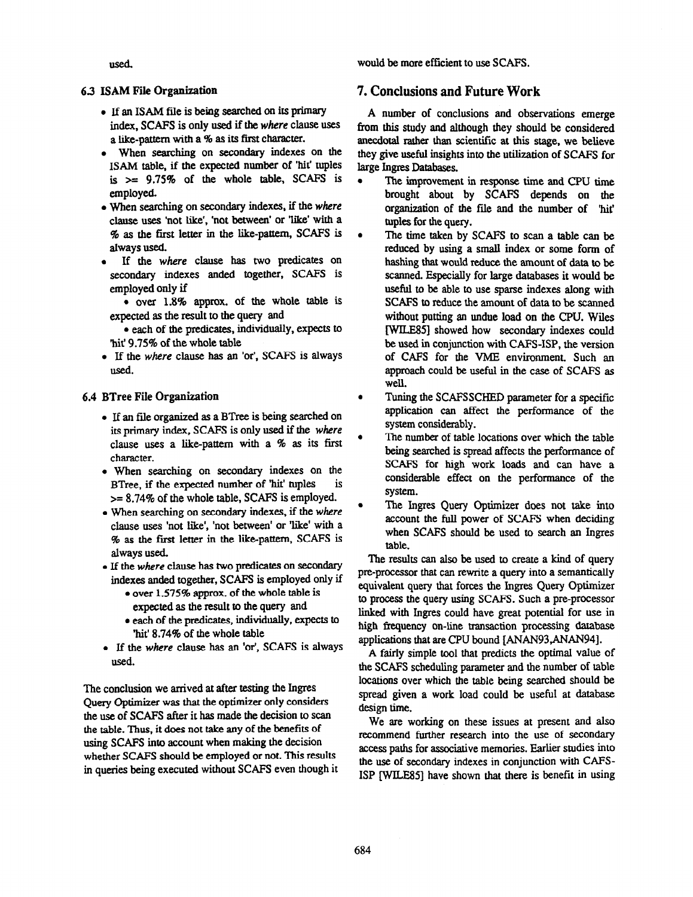would be more efficient to use SCAPS.

used.

### 6.3 ISAM File Organization

- If an ISAM file is being searched on its primary index, SCAFS is only used if the where clause uses a like-pattern with a % as its first character.
- When searching on secondary indexes on the ISAM table, if the expected number of 'hit' tuples is  $\ge$  9.75% of the whole table, SCAFS is employed.
- When searching on secondary indexes, if the where clause uses 'not like', 'not between' or 'like' with a % as the first letter in the like-pattern, SCAPS is always used.
- <sup>l</sup>If the where clause has two predicates on secondary indexes anded together, SCAFS is employed only if
- over  $1.8\%$  approx. of the whole table is expected as the result to the query and
- each of the predicates, individually, expects to 'hit' 9.75% of the whole table
- 0 If the where clause has an 'or', SCAFS is always used.

#### 6.4 BTree File Organization

- If an file organized as a BTree is being searched on its primary index, SCAFS is only used if the where clause uses a like-pattern with a  $%$  as its first character.
- When searching on secondary indexes on the BTree, if the expected number of 'hit' tuples is >= 8.74% of the whole table, SCAFS is employed.
- When searching on secondary indexes, if the where clause uses 'not like', 'not between' or 'like' with a % as the first letter in the like-pattern, SCAFS is always used
- If the where clause has two predicates on secondary indexes anded together, SCAES is employed only if
	- over 1.575% approx. of the whole table is expected as the result to the query and
	- $\bullet$  each of the predicates, individually, expects to 'hit' 8.74% of the whole table
- 0 If the where clause has an 'or', SCAFS is always used.

The conclusion we arrived at after testing the Ingres Query Optimizer was that the optimizer only considers the use of SCAPS after it has made the decision to scan the table. Thus, it does not take any of the benefits of using SCAPS into account when making the decision whether SCAFS should be employed or not. This results in queries being executed without SCAFS even though it

## 7. Conclusions and Future Work

A number of conclusions and observations emerge from this study and although they should be considered anecdotal rather than scientific at this stage, we believe they give useful insights into the utilization of SCAFS for large Ingres Databases.

- The improvement in response time and CPU time brought about by SCAFS depends on the organization of the file and the number of hit' tuples for the query.
- The time taken by SCAFS to scan a table can be reduced by using a small index or some form of hashing that would reduce the amount of data to be scanned. Especially for large databases it would be useful to be able to use sparse indexes along with SCAFS to reduce the amount of data to be scanned without putting an undue load on the CPU. Wiles lWILE85] showed how secondary indexes could be used in conjunction with CAPS-ISP, the version of CAPS for the VME environment. Such an approach could be useful in the case of SCAPS as well.
- Tuning the SCAFSSCHED parameter for a specific  $\bullet$ application can affect the performance of the system considerably.
- The number of table locations over which the table being searched is spread affects the performance of SCAFS for high work loads and can have a considerable effect on the performance of the system.
- The Ingres Query Optimizer does not take into account the full power of SCAPS when deciding when SCAFS should be used to search an Ingres table.

The results can also be used to create a kind of query pre-processor that can rewrite a query into a semantically equivalent query that forces the Ingres Query Optimizer to process the query using SCAPS. Such a pre-processor linked with Ingres could have great potential for use in high frequency on-line transaction processing database applications that are CPU bound [ANAN93,ANAN94].

A fairly simple tool that predicts the optimal value of the SCAPS scheduling parameter and the number of table locations over which the table being searched should be spread given a work load could be useful at database design time.

We are working on these issues at present and also recommend further research into the use of secondary access paths for associative memories. Earlier studies inlo the use of secondary indexes in conjunction with CARS-ISP [WILE851 have shown that there is benefit in using